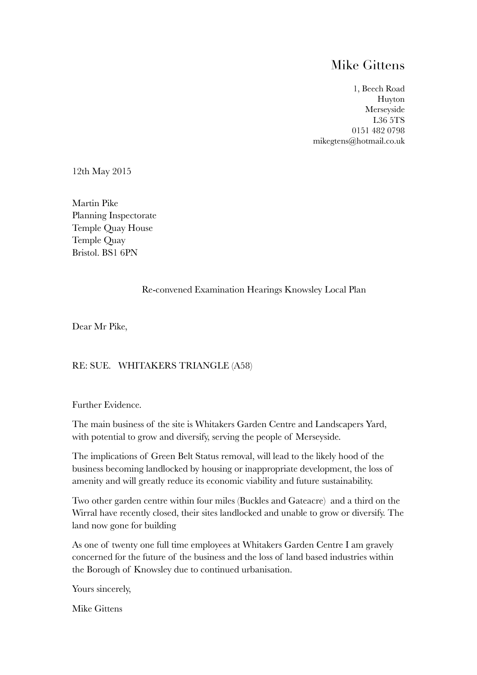## Mike Gittens

1, Beech Road Huyton Merseyside L36 5TS 0151 482 0798 mikegtens@hotmail.co.uk

12th May 2015

Martin Pike Planning Inspectorate Temple Quay House Temple Quay Bristol. BS1 6PN

#### Re-convened Examination Hearings Knowsley Local Plan

Dear Mr Pike,

### RE: SUE. WHITAKERS TRIANGLE (A58)

Further Evidence.

The main business of the site is Whitakers Garden Centre and Landscapers Yard, with potential to grow and diversify, serving the people of Merseyside.

The implications of Green Belt Status removal, will lead to the likely hood of the business becoming landlocked by housing or inappropriate development, the loss of amenity and will greatly reduce its economic viability and future sustainability.

Two other garden centre within four miles (Buckles and Gateacre) and a third on the Wirral have recently closed, their sites landlocked and unable to grow or diversify. The land now gone for building

As one of twenty one full time employees at Whitakers Garden Centre I am gravely concerned for the future of the business and the loss of land based industries within the Borough of Knowsley due to continued urbanisation.

Yours sincerely,

Mike Gittens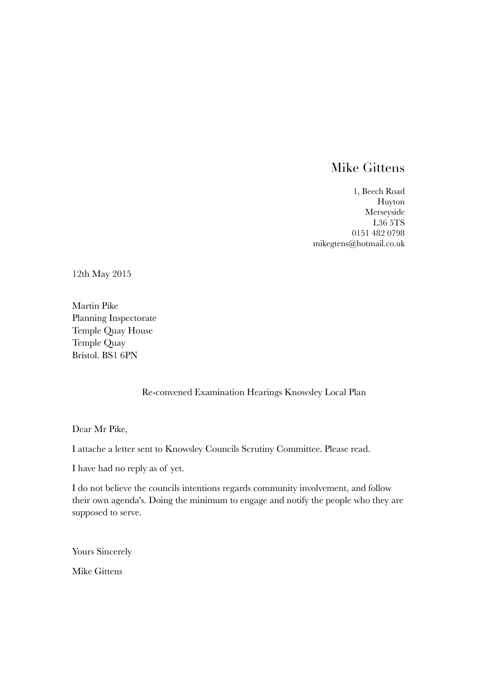# Mike Gittens

1, Beech Road Huyton Merseyside L36 5TS 0151 482 0798 mikegtens@hotmail.co.uk

12th May 2015

Martin Pike Planning Inspectorate Temple Quay House Temple Quay Bristol. BS1 6PN

### Re-convened Examination Hearings Knowsley Local Plan

Dear Mr Pike,

I attache a letter sent to Knowsley Councils Scrutiny Committee. Please read.

I have had no reply as of yet.

I do not believe the councils intentions regards community involvement, and follow their own agenda's. Doing the minimum to engage and notify the people who they are supposed to serve.

Yours Sincerely

Mike Gittens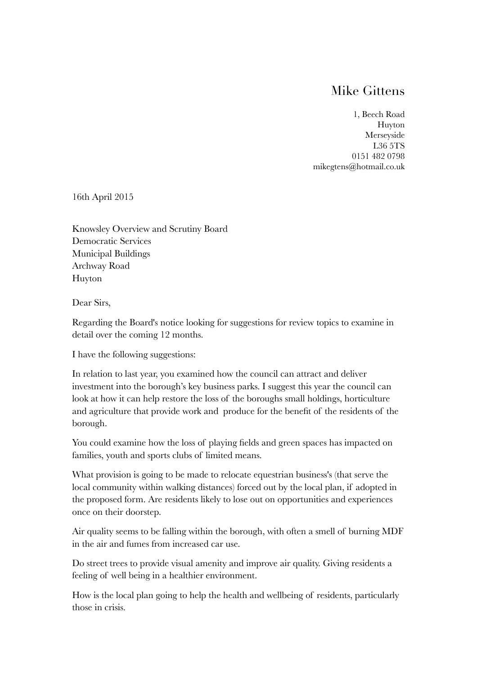## Mike Gittens

1, Beech Road Huyton Merseyside L36 5TS 0151 482 0798 mikegtens@hotmail.co.uk

16th April 2015

Knowsley Overview and Scrutiny Board Democratic Services Municipal Buildings Archway Road Huyton

Dear Sirs,

Regarding the Board's notice looking for suggestions for review topics to examine in detail over the coming 12 months.

I have the following suggestions:

In relation to last year, you examined how the council can attract and deliver investment into the borough's key business parks. I suggest this year the council can look at how it can help restore the loss of the boroughs small holdings, horticulture and agriculture that provide work and produce for the benefit of the residents of the borough.

You could examine how the loss of playing fields and green spaces has impacted on families, youth and sports clubs of limited means.

What provision is going to be made to relocate equestrian business's (that serve the local community within walking distances) forced out by the local plan, if adopted in the proposed form. Are residents likely to lose out on opportunities and experiences once on their doorstep.

Air quality seems to be falling within the borough, with often a smell of burning MDF in the air and fumes from increased car use.

Do street trees to provide visual amenity and improve air quality. Giving residents a feeling of well being in a healthier environment.

How is the local plan going to help the health and wellbeing of residents, particularly those in crisis.